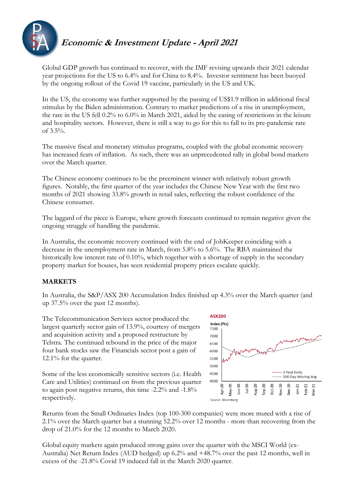

## **Economic & Investment Update - April 2021**

Global GDP growth has continued to recover, with the IMF revising upwards their 2021 calendar year projections for the US to 6.4% and for China to 8.4%. Investor sentiment has been buoyed by the ongoing rollout of the Covid 19 vaccine, particularly in the US and UK.

In the US, the economy was further supported by the passing of US\$1.9 trillion in additional fiscal stimulus by the Biden administration. Contrary to market predictions of a rise in unemployment, the rate in the US fell 0.2% to 6.0% in March 2021, aided by the easing of restrictions in the leisure and hospitality sectors. However, there is still a way to go for this to fall to its pre-pandemic rate of 3.5%.

The massive fiscal and monetary stimulus programs, coupled with the global economic recovery has increased fears of inflation. As such, there was an unprecedented rally in global bond markets over the March quarter.

The Chinese economy continues to be the preeminent winner with relatively robust growth figures. Notably, the first quarter of the year includes the Chinese New Year with the first two months of 2021 showing 33.8% growth in retail sales, reflecting the robust confidence of the Chinese consumer.

The laggard of the piece is Europe, where growth forecasts continued to remain negative given the ongoing struggle of handling the pandemic.

In Australia, the economic recovery continued with the end of JobKeeper coinciding with a decrease in the unemployment rate in March, from 5.8% to 5.6%. The RBA maintained the historically low interest rate of 0.10%, which together with a shortage of supply in the secondary property market for houses, has seen residential property prices escalate quickly.

## **MARKETS**

In Australia, the S&P/ASX 200 Accumulation Index finished up 4.3% over the March quarter (and up 37.5% over the past 12 months).

The Telecommunication Services sector produced the largest quarterly sector gain of 13.9%, courtesy of mergers and acquisition activity and a proposed restructure by Telstra. The continued rebound in the price of the major four bank stocks saw the Financials sector post a gain of 12.1% for the quarter.

Some of the less economically sensitive sectors (i.e. Health Care and Utilities) continued on from the previous quarter to again post negative returns, this time -2.2% and -1.8% respectively.



Returns from the Small Ordinaries Index (top 100-300 companies) were more muted with a rise of 2.1% over the March quarter but a stunning 52.2% over 12 months - more than recovering from the drop of 21.0% for the 12 months to March 2020.

Global equity markets again produced strong gains over the quarter with the MSCI World (ex-Australia) Net Return Index (AUD hedged) up 6.2% and +48.7% over the past 12 months, well in excess of the -21.8% Covid 19 induced fall in the March 2020 quarter.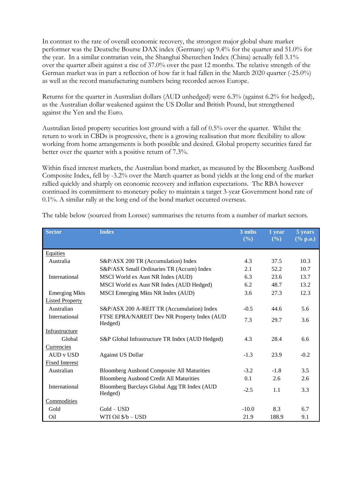In contrast to the rate of overall economic recovery, the strongest major global share market performer was the Deutsche Bourse DAX index (Germany) up 9.4% for the quarter and 51.0% for the year. In a similar contrarian vein, the Shanghai Shenzchen Index (China) actually fell 3.1% over the quarter albeit against a rise of 37.0% over the past 12 months. The relative strength of the German market was in part a reflection of how far it had fallen in the March 2020 quarter (-25.0%) as well as the record manufacturing numbers being recorded across Europe.

Returns for the quarter in Australian dollars (AUD unhedged) were 6.3% (against 6.2% for hedged), as the Australian dollar weakened against the US Dollar and British Pound, but strengthened against the Yen and the Euro.

Australian listed property securities lost ground with a fall of 0.5% over the quarter. Whilst the return to work in CBDs is progressive, there is a growing realisation that more flexibility to allow working from home arrangements is both possible and desired. Global property securities fared far better over the quarter with a positive return of 7.3%.

Within fixed interest markets, the Australian bond market, as measured by the Bloomberg AusBond Composite Index, fell by -3.2% over the March quarter as bond yields at the long end of the market rallied quickly and sharply on economic recovery and inflation expectations. The RBA however continued its commitment to monetary policy to maintain a target 3-year Government bond rate of 0.1%. A similar rally at the long end of the bond market occurred overseas.

| <b>Sector</b>          | <b>Index</b>                                           | 3 mths<br>(%) | 1 year<br>(%) | 5 years<br>$(% \mathbf{a})$ (% p.a.) |
|------------------------|--------------------------------------------------------|---------------|---------------|--------------------------------------|
| <b>Equities</b>        |                                                        |               |               |                                      |
| Australia              | S&P/ASX 200 TR (Accumulation) Index                    | 4.3           | 37.5          | 10.3                                 |
|                        | S&P/ASX Small Ordinaries TR (Accum) Index              | 2.1           | 52.2          | 10.7                                 |
| International          | MSCI World ex Aust NR Index (AUD)                      | 6.3           | 23.6          | 13.7                                 |
|                        | MSCI World ex Aust NR Index (AUD Hedged)               | 6.2           | 48.7          | 13.2                                 |
| <b>Emerging Mkts</b>   | MSCI Emerging Mkts NR Index (AUD)                      | 3.6           | 27.3          | 12.3                                 |
| <b>Listed Property</b> |                                                        |               |               |                                      |
| Australian             | S&P/ASX 200 A-REIT TR (Accumulation) Index             | $-0.5$        | 44.6          | 5.6                                  |
| International          | FTSE EPRA/NAREIT Dev NR Property Index (AUD<br>Hedged) | 7.3           | 29.7          | 3.6                                  |
| Infrastructure         |                                                        |               |               |                                      |
| Global                 | S&P Global Infrastructure TR Index (AUD Hedged)        | 4.3           | 28.4          | 6.6                                  |
| Currencies             |                                                        |               |               |                                      |
| AUD v USD              | <b>Against US Dollar</b>                               | $-1.3$        | 23.9          | $-0.2$                               |
| <b>Fixed Interest</b>  |                                                        |               |               |                                      |
| Australian             | <b>Bloomberg Ausbond Composite All Maturities</b>      | $-3.2$        | $-1.8$        | 3.5                                  |
|                        | <b>Bloomberg Ausbond Credit All Maturities</b>         | 0.1           | 2.6           | 2.6                                  |
| International          | Bloomberg Barclays Global Agg TR Index (AUD<br>Hedged) | $-2.5$        | 1.1           | 3.3                                  |
| Commodities            |                                                        |               |               |                                      |
| Gold                   | $Gold - USD$                                           | $-10.0$       | 8.3           | 6.7                                  |
| O <sub>il</sub>        | WTI Oil \$/b - USD                                     | 21.9          | 188.9         | 9.1                                  |

The table below (sourced from Lonsec) summarises the returns from a number of market sectors.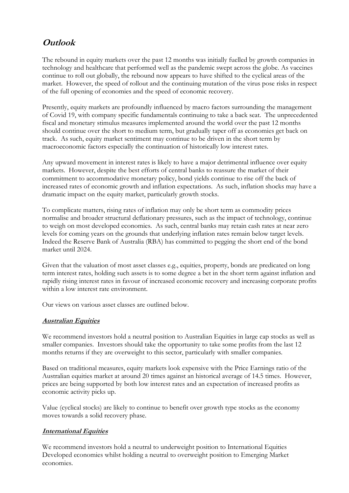# **Outlook**

The rebound in equity markets over the past 12 months was initially fuelled by growth companies in technology and healthcare that performed well as the pandemic swept across the globe. As vaccines continue to roll out globally, the rebound now appears to have shifted to the cyclical areas of the market. However, the speed of rollout and the continuing mutation of the virus pose risks in respect of the full opening of economies and the speed of economic recovery.

Presently, equity markets are profoundly influenced by macro factors surrounding the management of Covid 19, with company specific fundamentals continuing to take a back seat. The unprecedented fiscal and monetary stimulus measures implemented around the world over the past 12 months should continue over the short to medium term, but gradually taper off as economies get back on track. As such, equity market sentiment may continue to be driven in the short term by macroeconomic factors especially the continuation of historically low interest rates.

Any upward movement in interest rates is likely to have a major detrimental influence over equity markets. However, despite the best efforts of central banks to reassure the market of their commitment to accommodative monetary policy, bond yields continue to rise off the back of increased rates of economic growth and inflation expectations. As such, inflation shocks may have a dramatic impact on the equity market, particularly growth stocks.

To complicate matters, rising rates of inflation may only be short term as commodity prices normalise and broader structural deflationary pressures, such as the impact of technology, continue to weigh on most developed economies. As such, central banks may retain cash rates at near zero levels for coming years on the grounds that underlying inflation rates remain below target levels. Indeed the Reserve Bank of Australia (RBA) has committed to pegging the short end of the bond market until 2024.

Given that the valuation of most asset classes e.g., equities, property, bonds are predicated on long term interest rates, holding such assets is to some degree a bet in the short term against inflation and rapidly rising interest rates in favour of increased economic recovery and increasing corporate profits within a low interest rate environment.

Our views on various asset classes are outlined below.

## **Australian Equities**

We recommend investors hold a neutral position to Australian Equities in large cap stocks as well as smaller companies. Investors should take the opportunity to take some profits from the last 12 months returns if they are overweight to this sector, particularly with smaller companies.

Based on traditional measures, equity markets look expensive with the Price Earnings ratio of the Australian equities market at around 20 times against an historical average of 14.5 times. However, prices are being supported by both low interest rates and an expectation of increased profits as economic activity picks up.

Value (cyclical stocks) are likely to continue to benefit over growth type stocks as the economy moves towards a solid recovery phase.

## **International Equities**

We recommend investors hold a neutral to underweight position to International Equities Developed economies whilst holding a neutral to overweight position to Emerging Market economies.